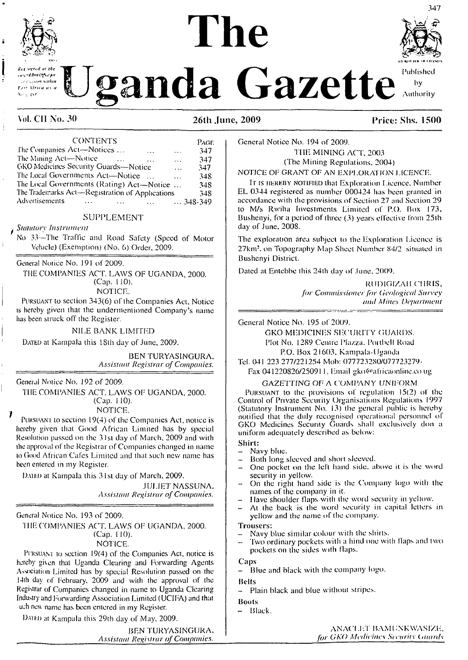

*Uganda* **Gazette** Authority

# **The**



Authority

# **Vol. CII No. 30 26th June, 2009 Price: Shs. 1500**

| <b>CONTENTS</b>                                 |           | PAGE         |
|-------------------------------------------------|-----------|--------------|
| The Companies Act—Notices<br>$\sim$             | $\cdots$  | 347          |
| The Mining Act-Notice                           | $\ddotsc$ | 347          |
| GKO Medicines Security Guards-Notice            | $\ddotsc$ | 347          |
| The Local Governments Act—Notice<br>$\sim 100$  | $\ddotsc$ | 348          |
| The Local Governments (Rating) Act—Notice       |           | 348          |
| The Trademarks Act-Registration of Applications |           | 348          |
| Advertisements<br><b>Service</b>                |           | $ 348 - 349$ |

### SUPPLEMENT

#### *Statutory Instrument*

No 33—The Traffic and Road Safety (Speed of Motor Vehicle) (Exemption) (No. 6) Order, 2009.

General Notice No. 191 of 2009.

THE COMPANIES ACT. LAWS OF UGANDA, 2000. (Cap. 110).

NOTICE.

Pursuant to section 343(6) of the Companies Act. Notice is hereby given that the undermentioned Company's name has been struck off the Register.

#### NILE BANK LIMITED

Dated at Kampala this 18th day of June, 2009.

BEN TURYASINGURA. *Assistant Registrar ofCompanies.*

General Notice No. 192 of 2009.

 $\boldsymbol{\eta}$ 

THE COMPANIES ACT. LAWS OF UGANDA, 2000. (Cap. 110).

NOTICE.

PURSUANT to section  $19(4)$  of the Companies Act, notice is hereby given that Good African Limited has by special Resolution passed on the 31st day of March, 2009 and with the approval of the Registrar of Companies changed in name to Good African Cafes Limited and that such new name has been entered in my Register.

DATED at Kampala this 31st day of March, 2009.

JULIET NASSUNA. *Assistant Registrar ofCompanies.*

General Notice No. 193 of 2009.

'I HE COMPANIES ACT. LAWS OF UGANDA, 2000. (Cap. 110).

NOTICE.

PURSUANT to section 19(4) of the Companies Act, notice is hereby given that Uganda Clearing and Forwarding Agents Association Limited has by special Resolution passed on the 14ih day of February, 2009 and with the approval of the Registrar of Companies changed in name to Uganda Clearing Industry and Forwarding Association Limited (UCIFA) and that uch new name has been entered in my Register.

DATED at Kampala this 29th day of May, 2009.

BEN TURYASINGURA. *Assistant Registrar ofCompanies.*

General Notice No. 194 of 2009.

THE MINING ACT, 2003 (The Mining Regulations. 2004)

NOTICE OF GRANT OF AN EXPLORATION LICENCE.

It is hereby notified that Exploration Licence. Number EL 0344 registered as number 000424 has been granted in accordance with the provisions of Section 27 and Section 29 to M/s Rwiha Investments Limited of P.O. Box 173, Bushenyi, for a period of three (3) years effective from 25th day of June, 2008.

The exploration area subject to the Exploration Licence is 27km:. on Topography Map Sheet Number 84/2 situated in Bushenyi District.

Dated at Entebbe this 24th day of June, 2009.

RUDIGIZAH CHRIS, *for Commissionerfor (ieological Survey and Mines Department*

General Notice No. 195 of 2009.

GKO MEDICINES SECURITY GUARDS. Plot No. 1289 Centre Piazza. Ponbcll Road P.O. Box 21603, Kampala-Uganda Tel. 041 223 277/221254 Mob: 077723280/077723279-

Fax 041220826/250911, Email gko@africaonline.co ug

## GAZETTING OF A COMPANY UNIFORM

Pursuant to the provisions of regulation 15(2) of the Control of Private Security Organisations Regulations 1997 (Statutory Instrument No. 13) lhe general public is hereby notified that the duly recognised operational personnel of GKO Medicines Security Guards shall exclusively don a uniform adequately described as below:

- **Shirt:**
- Navy blue. Both long sleeved and short sleeved.
- One pocket on the left hand side, above it is the word security in yellow.
- On the right hand side is the Company logo with the names of the company in il.
- Have shoulder flaps with the word security in yellow.
- At the back is the word security in capital letters in yellow and the name of the company.

**Trousers:**

- Navy blue similar colour with the shirts.
- Two ordinary pockets with a hind one with flaps and two pockets on the sides with flaps.

**Caps**

- Blue and black with lhe company logo.

**Belts**

- Plain black and blue without stripes.

#### **Boots**

- Black.

anaclet bamunkwasize. *for CKO Medicines Security (.mards*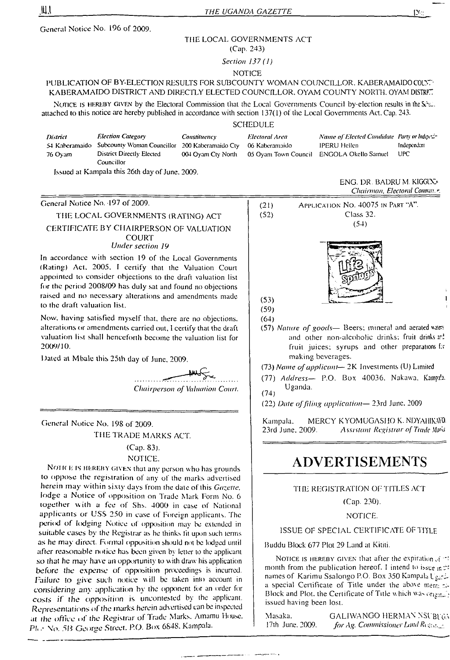General Notice No. 196 of 2009.

#### THE LOCAL GOVERNMENTS ACT

(Cap. 243)

*Section 137 (1)*

#### **NOTICE**

# PUBLICATION OF BY-ELECTION RESULTS FOR SUBCOUNTY WOMAN COUNCILLOR. KABERAMAIDO COUNTY KABERAMAIDO DISTRICT AND DIRECTLY ELECTED COUNCILLOR, OYAM COUNTY NORTH, OYAM DISTRIT

NOTICE IS HEREBY GIVEN by the Electoral Commission that the Local Governments Council by-election results in the Self-. attached to this notice are hereby published in accordance with section 137(1) of the Local Governments Act. Cap. 243.

## **SCHEDULE**

| <b>District</b> | <b>Election Category</b><br>54 Kaberamaido Subcounty Woman Councillor 200 Kaberamaido Cty | Constituency       | Electoral Area<br>06 Kaberamaido | Name of Elected Candidate Party or Independent<br>IPERU Hellen | Independent |
|-----------------|-------------------------------------------------------------------------------------------|--------------------|----------------------------------|----------------------------------------------------------------|-------------|
| 76 Oyam         | District Directly Elected<br>Councillor                                                   | 004 Ovam Ctv North |                                  | 05 Ovam Town Council ENGOLA Okello Samuel                      | UPC         |
|                 |                                                                                           |                    |                                  |                                                                |             |

Issued at Kampala this 26th day of June, 2009.

General Notice No. 197 of 2009.

# THE LOCAL GOVERNMENTS (RATING) ACT CERTIFICATE BY CHAIRPERSON OF VALUATION **COURT** *Under section 19*

In accordance with section 19 of the Local Governments (Rating) Act. 2005. I certify that the Valuation Court appointed to consider objections to the draft valuation list for the period 2008/09 has duly sal and found no objections raised and no necessary alterations and amendments made to the draft valuation list.

Now. having satisfied myself that, there arc no objections, alterations or amendments carried out, I certify that the draft valuation list shall henceforth become the valuation list for 2009/10.

Dated al Mbale this 25lh day of June. 2009.

*Chairperson of Valuation Court.*

General Notice No. 198 of 2009. THE TRADE MARKS ACT.

# (Cap. 83).

# NOTICE.

NOTICE IS HEREBY GIVEN that any person who has grounds to oppose the registration of any of lhe marks advertised herein may within sixty days from the date of this *Gazette.* lodge a Notice ol opposition on Trade Mark Form No. 6 together with a fee of Shs. 4000 in case of National applicants or USS 250 in case of Foreign applicants. The period *of lodging* Notice of opposition may be extended in suitable cases by the Registrar as he thinks fit upon such terms as he may direct. Formal opposition should not be lodged until after reasonable notice has been given by letter to the applicant so that he may have an opportunity to with draw his application before the expense *of* opposition proceedings is incurred. Failure to give such notice will be taken into account in considering any application by the opponent ior an order for costs *if the opposition* is uncontested by the applicant. Representations of the marks herein advertised can be inspected at rhe *office* of *the* Registrar ol Trade Marks. Amamu House. PI, .• No. 5B George Street. RO. Box 6848. Kampala.

|      | Chairman, Electoral Commuss.r.     |
|------|------------------------------------|
| (21) | APPLICATION NO. 40075 IN PART "A". |
| (52) | Class 32.                          |
|      | (54)                               |
|      |                                    |

ENG. DR. BADRU M. KIGGIX>

# $(53)$

(59) (64)

(57) *Nature of goods—* Beers: mineral and aerated uaw? and other non-alcoholic drinks; fruit drinks and fruit juices; syrups and other preparations f:r making beverages.

(73) *Name ofapplicant—* 2K Investments (U) Limited

- (77) *Address—* P.O. Box 40036. Nakawa. Kampala. Uganda.
- (74)

(22) *Date offiling application—* 23rd June. 2009

Kampala. MERCY KYOMUGASHO K. NDYAHIKAYO.<br>23rd June, 2009. Assistant Registrar of Trade Mars. 23rd June. 2009. *Assistant Registrar of Trade JhvL*

# **ADVERTISEMENTS**

## THE REGISTRATION OF TITLES ACT

(Cap. 230).

NOTICE.

#### ISSUE OF SPECIAL CERTIFICATE OP TITLE

Buddu Block 677 Plot 29 Land at Kimi.

NOTICE IS HEREBY GIVEN that after the expiration of  $\rightarrow$ month from the publication hereof. I intend to issue in  $\mathbb{C}^2$ names of Karimu Ssalongo P.O. Box 350 Kampala I a special Certificate of Title under the above mentions. Block and Plot, the Certificate of Title which was  $\sigma_{\text{R21m-}}$ . issued having been lost.

Masaka. GALIWANGO HERMAN NSUBUGA 17th June. 2009. *for Ag. Commissioner Land Register*.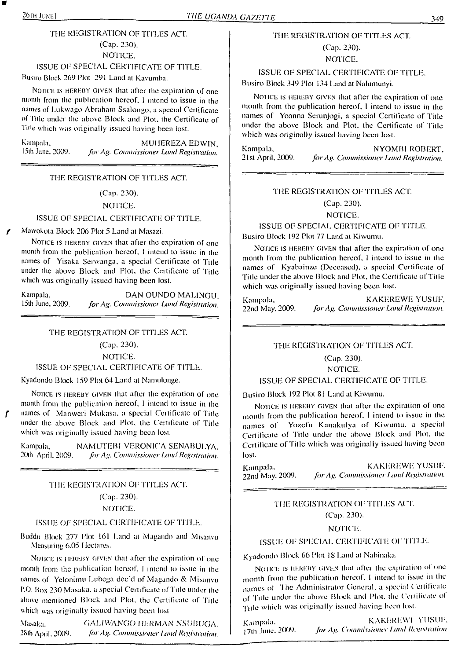# THE REGISTRATION OF TITLES ACT. (Cap. 230). NOTICE.

ISSUE OF SPECIAL CERTIFICATE OF TITLE.

Busiro Block 269 Plot 291 Land at Kavumba.

Notice is HEREBY GIVEN that after the expiration of one month from the publication hereof. <sup>I</sup> intend to issue in the names of Lukwago Abraham Ssalongo. a special Certificate ol Title under the above Block and Plot, the Certificate of Title which was originally issued having been lost.

Kampala, MUHEREZA EDWIN,<br>15th June, 2009. *for Ag. Commissioner Land Registration* 15th June. 2009. *for Ag. Commissioner Land Registration.*

#### THE REGISTRATION OF TITLES ACT.

# (Cap. 230).

#### NOTICE.

#### ISSUE OF SPECIAL CERTIFICATE OF TITLE.

*f* Mawokota Block <sup>206</sup> Plot <sup>5</sup> Land at Masazi.

NOTICE IS HEREBY GIVEN that after the expiration of one month from the publication hereof. <sup>I</sup> intend to issue in the names of Yisaka Serwanga, a special Certificate of Title under the above Block and Plot, the Certificate of Title which was originally issued having been lost.

Kampala, DAN OUNDO MALINGU,<br>15th June, 2009. for Ag. Commissioner Land Registration. 15th June. 2009. *forAg. Commissioner Land Registration.*

THE REGISTRATION OF TITLES ACT.

(Cap. 230).

NOTICE.

#### ISSUE OF SPECIAL CERTIFICATE OF TITLE.

Kyadondo Block 159 Plot 64 Land at Namulonge.

NOTICE IS HEREBY GIVEN that after the expiration of one month from the publication hereof. <sup>I</sup> intend to issue in the *f* names of Manwcri Mukasa. a special Certificate of Title under the above Block and Plot, the Certificate of Tide which was originally issued having been lost.

Kampala, NAMUTEBI VERONICA SENABULYA. 20th April, 2009. *for Ag. Commissioner Land Registration.* 

#### THE REGISTRATION OF TITLES ACT.

# (Cap. 230).

NOTICE.

#### ISSUE OF SPECIAL CERTIFICATE OF TITLE.

Buddu Block 277 Plot 161 Land at Magando and Misanvu Measuring 6.05 Hectares.

NOHCE IS HEREBY GIVEN that after the expiration of one month from the publication hereof. <sup>I</sup> intend to issue in the names of Yeloniinu Lubega dec'd of Magando & Misanvu P.O. Box 230 Masaka, a special Certificate of Title under the above mentioned Block and Plot, the Certificate of Title which was originally issued having been lost

Masaka. GALIWANGO HERMAN NSUBUGA. 28th April. 2009. *for Ag. Commissioner Land Registration.* 

## THE REGISTRATION OF TITLES ACT.

# (Cap. 230). NOTICE.

ISSUE OF SPECIAL CERTIFICATE OF TITLE. Busiro Block 349 Plot 134 Land at Nalumunyi.

Notice is hereby given that after the expiration of one month from the publication hereof. <sup>I</sup> intend to issue in the names of Yoanna Scrunjogi, a special Certificate of Title under the above Block and Plot, the Certificate of Title which was originally issued having been lost.

Kampala, NYOMBI ROBERT,<br>21st April, 2009. *for Ag. Commissioner Land Registration*. 21st April. 2009. *forAg. Commissioner hind Registration.*

# THE REGISTRATION OF TITLES ACT. (Cap. 230). NOTICE.

ISSUE OF SPECIAL CERTIFICATE OF TITLE. Busiro Block 192 Plot 77 Land at Kiwumu.

NOTICE IS HEREBY GIVEN that after the expiration of one month from the publication hereof, <sup>I</sup> intend to issue in the names of Kyabainze (Deceased), a special Certificate of 'Title under the above Block and Plot, the Certificate of'Title which was originally issued having been lost.

Kampala, KAKEREWE YUSUF, 22nd May, 2009. *for Ag. Commissioner Land Registration*. 22nd May, 2009. *forAg. Commissioner Land Registration.*

#### THE REGISTRATION OF TITLES ACT.

(Cap. 230). NOTICE.

#### ISSUE OF SPECIAL CERTIFICATE OF TITLE.

Busiro Block 192 Plot 81 Land al Kiwumu.

NOTICE IS HEREBY GIVEN that after the expiration of one month from the publication hereof, <sup>I</sup> intend to issue in the names of Yozefu Kanakulya of Kiwumu. a special Certificate of 'Title under the above Block and Plot, the Certificate of 'Title which was originally issued having been lost.

Kampala. KAKEREWE YUSUF, 22nd May, 2009. *for Ag. Commissioner Land Registration*.

> THE REGISTRATION OF TITLES ACT. (Cap. 230).

#### NOTICE.

#### ISSUE OF SPECIAL CERTIFICATE OF TITLE.

Kyadondo Block 66 Plot 18 Land at Nabinaka.

NOIICE IS HEREBY GIVEN that after the expiration of one month from the publication hereof. <sup>I</sup> intend to issue in the names of The Administrator General, a special Certificate of 'Title under the above Block and Plot, the ( ciiilicatc ol 'Title which was originally issued having been lost.

Kampala. KAKEREWI YUSUF. |7th June. 20W. *for Ag. Commissioner I.and Registration*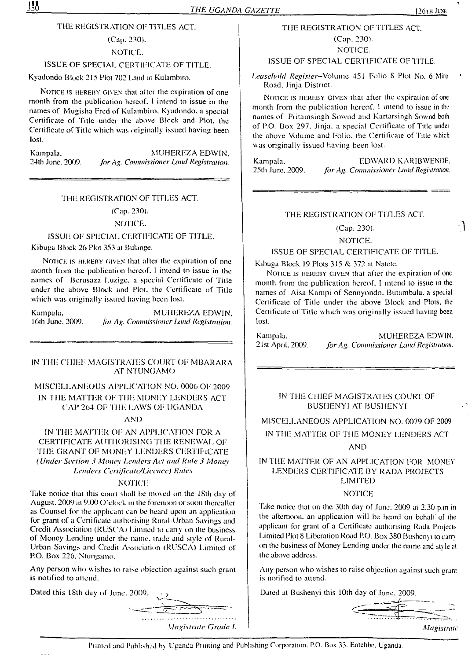# THE REGISTRATION OF TITLES ACT.

(Cap. 230). NOTICE.

#### ISSUE OF SPECIAL CERTIFICATE OF TITLE.

Kyadondo Block 215 Plot 702 [.and at Kulambiro.

NOTICE IS HEREBY GIVEN that after the expiration of one month from the publication hereof. <sup>I</sup> intend to issue in the names of Mugisha Fred of Kulambiro. Kyadondo. a special Certificate of Title under the above Block and Plot, the Certificate of Title which was originally issued having been lost.

Kampala. MUHEREZA EDWIN,<br>24th June, 2009. for Ag. Commissioner Land Registration. 24th June. 2009. *forAg. Commissioner Land Registration.*

#### THE REGISTRATION OF TITLES ACT.

#### (Cap. 230).

#### NOTICE.

# ISSUE OF SPECIAL CERTIFICATE OF TITLE.

Kibuga Block 26 Plot 353 at Bulange.

NOTICE IS HEREBY GIVEN that after the expiration of one month from the publication hereof. <sup>I</sup> intend to issue in the names of Berusaza Luzige. a special Certificate of Title under the above Block and Plot, the Certificate of Title which was originally issued having been lost.

Kampala. MUHEREZA EDWIN.

16th June, 2009. *for Ag. Commissioner Land Registration.* 

IN THE CHIEF MAGISTRATES COURT OF MBARARA AT NTUNGAMO

# MISCELLANEOUS APPLICATION NO. 0006 OF 2009 IN THE MATTER OF THE MONEY LENDERS ACT CAP 264 OF THE LAWS OF' UGANDA

#### AND

IN THE MATTER OF AN APPLICATION FOR A CERTIFICATE AUTHORISING THE RENEWAL OF THE GRANT OF MONEY LENDERS CERTIFICATE *(Under Section 3 Money Lenders Act and Rule 3 Money Lenders Certificate/Liccnce) Rules*

#### NOTICE

Take notice that this court shall be moved on the 18th day of August,  $2009$  at  $9.00$  O'clock in the forenoon or soon thereafter as Counsel for the applicant can be heard upon an application for grant of a Certificate authorising Rural Urban Savings and Credit Association (RUSCA) Limited to cany on the business of Money Lending under the name, trade and style of Rural-Urban Savings and Credit Association (RUSCA) Limited of P.O. Box 226. Ntungamo.

Any person who wishes to raise objection against such grant is notified to attend.

Dated this 18th day of June. 2009.

THE REGISTRATION OF TITLES ACT. (Cap. 230). NOTICE.

## ISSUE OF SPECIAL CERTIFICATE OF TITLE.

*Leasehold Register—*Volume 451 Folio 8 Plot No. 6 Miro Road. Jinja District.

Notice is hereby given that after the expiration of one month from the publication hereof. <sup>1</sup> intend to issue in the names of Pritamsingh Sownd and Kartarsingh Sownd both of P.O. Box 297. Jinja. a special Certificate of Title under the above Volume and Folio, the Certificate of Title which was originally issued having been lost.

Kampala, EDWARD KARIBWENDE.<br>25th June, 2009. *for Ag. Commissioner Land Registration.* 25th June. 2009. *forAg. Commissioner Land Registration.*

# THE REGISTRATION OF TITLES ACT.

(Cap. 230).

#### NOTICE.

#### ISSUE OF SPECIAL CERTIFICATE OF TITLE.

Kibuga Block 19 Plots 315 & 372 at Nateie.

Notice is hereby given that after the expiration of one month from the publication hereof. I intend to issue in the names of Aisa Kampi of Sennyondo. Butambala. a special Certificate of Title under the above Block and Plots, the Certificate of Title which was originally issued having been lost.

Kampala. MUHEREZA EDWIN.<br>21st April, 2009. for Ag. Commissioner Land Registration. 21st April. 2009. *forAg. Commissioner Land Registration.*

## IN THE CHIEF MAGISTRATES COURT OF BUSHENYI AT BUSHENYI

# MISCELLANEOUS APPLICATION NO. 0079 OF 2009

# IN THE MATTER OF THE MONEY LENDERS ACT

# AND

# IN THE MATTER OF AN APPLICATION FOR MONEY LENDERS CERTIFICATE BY RADA PROJECTS LIMITED

## NOTICE

Take notice that on the 30th day of June. 2009 at 2.30 p.m in the afternoon, an application will be heard on behalf of the applicant for grant of a Certificate authorising Rada Projects Limited Plot 8 Liberation Road P.O. Box 380 Bushenyi to carry on the business of Money Lending under the name and style at the above address.

Any person who wishes to raise objection against such erant is notified to attend.

Dated al Bushenyi this 10th day of June. 2009.

*Magistrate*

Printed and Published by Uganda Printing and Publishing Corporation. P.O. Box 33. Entebbe. Uganda.

*Magistrate Grade I.*

 $\cdot$ 

 $330$